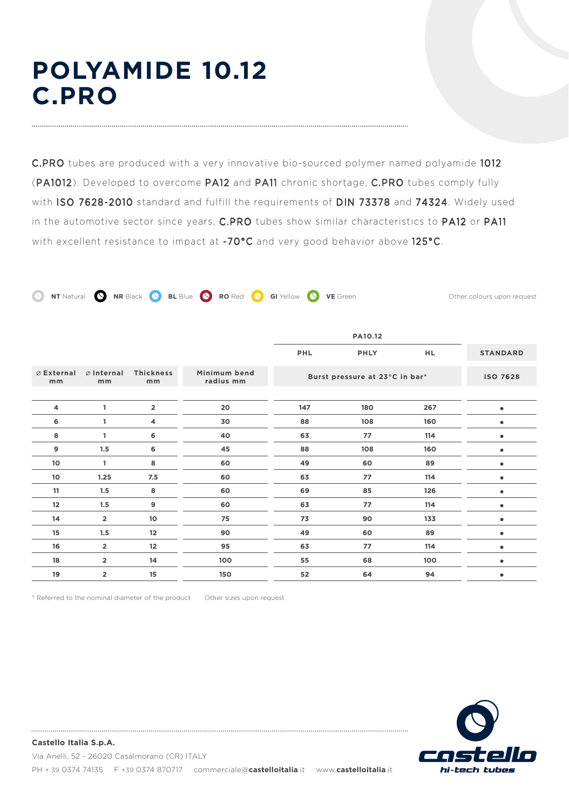# **POLYAMIDE 10.12 C.PRO**

C.PRO tubes are produced with a very innovative bio-sourced polymer named polyamide 1012 (PA1012). Developed to overcome PA12 and PA11 chronic shortage, C.PRO tubes comply fully with ISO 7628-2010 standard and fulfill the requirements of DIN 73378 and 74324. Widely used in the automotive sector since years, C.PRO tubes show similar characteristics to PA12 or PA11 with excellent resistance to impact at -70°C and very good behavior above 125°C.

**C** NT Natural **Q** NR Black **Q** BL Blue **Q** RO Red **Q** GI Yellow **Q** VE Green Other colours upon request

|                            |                            |                         |                           | <b>PHL</b> | <b>PHLY</b>                    | HL. | <b>STANDARD</b> |
|----------------------------|----------------------------|-------------------------|---------------------------|------------|--------------------------------|-----|-----------------|
| $\emptyset$ External<br>mm | $\emptyset$ Internal<br>mm | <b>Thickness</b><br>mm  | Minimum bend<br>radius mm |            | Burst pressure at 23°C in bar* |     | <b>ISO 7628</b> |
| 4                          | 1                          | $\overline{\mathbf{2}}$ | 20                        | 147        | 180                            | 267 |                 |
| 6                          | 1                          | 4                       | 30                        | 88         | 108                            | 160 |                 |
| 8                          | 1                          | 6                       | 40                        | 63         | 77                             | 114 |                 |
| 9                          | 1.5                        | 6                       | 45                        | 88         | 108                            | 160 |                 |
| 10                         | 1                          | 8                       | 60                        | 49         | 60                             | 89  | ٠               |
| 10                         | 1.25                       | 7.5                     | 60                        | 63         | 77                             | 114 | ٠               |
| 11                         | 1.5                        | 8                       | 60                        | 69         | 85                             | 126 | ٠               |
| 12                         | 1.5                        | 9                       | 60                        | 63         | 77                             | 114 | ٠               |
| 14                         | $\overline{2}$             | 10                      | 75                        | 73         | 90                             | 133 |                 |
| 15                         | 1.5                        | 12                      | 90                        | 49         | 60                             | 89  |                 |
| 16                         | $\overline{2}$             | 12                      | 95                        | 63         | 77                             | 114 |                 |
| 18                         | $\overline{2}$             | 14                      | 100                       | 55         | 68                             | 100 |                 |
| 19                         | $\overline{2}$             | 15                      | 150                       | 52         | 64                             | 94  |                 |

\* Referred to the nominal diameter of the product Other sizes upon request